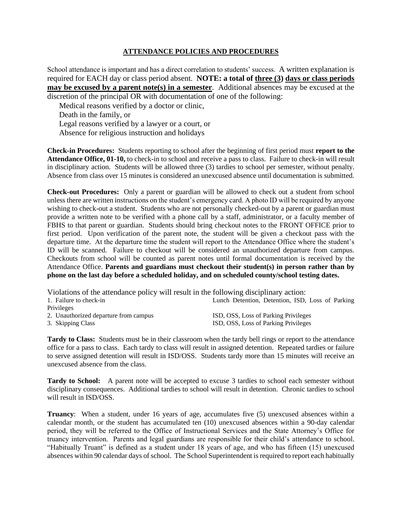## **ATTENDANCE POLICIES AND PROCEDURES**

School attendance is important and has a direct correlation to students' success. A written explanation is required for EACH day or class period absent. **NOTE: a total of three (3) days or class periods may be excused by a parent note(s) in a semester**. Additional absences may be excused at the discretion of the principal OR with documentation of one of the following:

Medical reasons verified by a doctor or clinic,

Death in the family, or Legal reasons verified by a lawyer or a court, or Absence for religious instruction and holidays

**Check-in Procedures:** Students reporting to school after the beginning of first period must **report to the Attendance Office, 01-10,** to check-in to school and receive a pass to class. Failure to check-in will result in disciplinary action. Students will be allowed three (3) tardies to school per semester, without penalty. Absence from class over 15 minutes is considered an unexcused absence until documentation is submitted.

**Check-out Procedures:** Only a parent or guardian will be allowed to check out a student from school unless there are written instructions on the student's emergency card. A photo ID will be required by anyone wishing to check-out a student. Students who are not personally checked-out by a parent or guardian must provide a written note to be verified with a phone call by a staff, administrator, or a faculty member of FBHS to that parent or guardian. Students should bring checkout notes to the FRONT OFFICE prior to first period. Upon verification of the parent note, the student will be given a checkout pass with the departure time. At the departure time the student will report to the Attendance Office where the student's ID will be scanned. Failure to checkout will be considered an unauthorized departure from campus. Checkouts from school will be counted as parent notes until formal documentation is received by the Attendance Office. **Parents and guardians must checkout their student(s) in person rather than by phone on the last day before a scheduled holiday, and on scheduled county/school testing dates.**

Violations of the attendance policy will result in the following disciplinary action: 1. Failure to check-in Lunch Detention, Detention, ISD, Loss of Parking Privileges 2. Unauthorized departure from campus ISD, OSS, Loss of Parking Privileges 3. Skipping Class ISD, OSS, Loss of Parking Privileges

**Tardy to Class:** Students must be in their classroom when the tardy bell rings or report to the attendance office for a pass to class. Each tardy to class will result in assigned detention. Repeated tardies or failure to serve assigned detention will result in ISD/OSS. Students tardy more than 15 minutes will receive an unexcused absence from the class.

**Tardy to School:** A parent note will be accepted to excuse 3 tardies to school each semester without disciplinary consequences. Additional tardies to school will result in detention. Chronic tardies to school will result in ISD/OSS.

**Truancy**: When a student, under 16 years of age, accumulates five (5) unexcused absences within a calendar month, or the student has accumulated ten (10) unexcused absences within a 90-day calendar period, they will be referred to the Office of Instructional Services and the State Attorney's Office for truancy intervention. Parents and legal guardians are responsible for their child's attendance to school. "Habitually Truant" is defined as a student under 18 years of age, and who has fifteen (15) unexcused absences within 90 calendar days of school.The School Superintendent is required to report each habitually